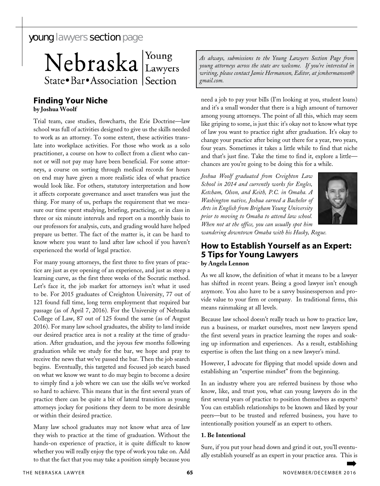# young lawyers section page

Nebraska Lawyers State • Bar • Association Section

### **Finding Your Niche by Joshua Woolf**

Trial team, case studies, flowcharts, the Erie Doctrine—law school was full of activities designed to give us the skills needed to work as an attorney. To some extent, these activities translate into workplace activities. For those who work as a solo practitioner, a course on how to collect from a client who cannot or will not pay may have been beneficial. For some attorneys, a course on sorting through medical records for hours on end may have given a more realistic idea of what practice would look like. For others, statutory interpretation and how it affects corporate governance and asset transfers was just the thing. For many of us, perhaps the requirement that we measure our time spent studying, briefing, practicing, or in class in three or six minute intervals and report on a monthly basis to our professors for analysis, cuts, and grading would have helped prepare us better. The fact of the matter is, it can be hard to know where you want to land after law school if you haven't experienced the world of legal practice.

For many young attorneys, the first three to five years of practice are just as eye opening of an experience, and just as steep a learning curve, as the first three weeks of the Socratic method. Let's face it, the job market for attorneys isn't what it used to be. For 2015 graduates of Creighton University, 77 out of 121 found full time, long term employment that required bar passage (as of April 7, 2016). For the University of Nebraska College of Law, 87 out of 125 found the same (as of August 2016). For many law school graduates, the ability to land inside our desired practice area is not a reality at the time of graduation. After graduation, and the joyous few months following graduation while we study for the bar, we hope and pray to receive the news that we've passed the bar. Then the job search begins. Eventually, this targeted and focused job search based on what we know we want to do may begin to become a desire to simply find a job where we can use the skills we've worked so hard to achieve. This means that in the first several years of practice there can be quite a bit of lateral transition as young attorneys jockey for positions they deem to be more desirable or within their desired practice.

Many law school graduates may not know what area of law they wish to practice at the time of graduation. Without the hands-on experience of practice, it is quite difficult to know whether you will really enjoy the type of work you take on. Add to that the fact that you may take a position simply because you *As always, submissions to the Young Lawyers Section Page from young attorneys across the state are welcome. If you're interested in writing, please contact Jamie Hermanson, Editor, at jcmhermanson@ gmail.com.*

need a job to pay your bills (I'm looking at you, student loans) and it's a small wonder that there is a high amount of turnover among young attorneys. The point of all this, which may seem like griping to some, is just this: it's okay not to know what type of law you want to practice right after graduation. It's okay to change your practice after being out there for a year, two years, four years. Sometimes it takes a little while to find that niche and that's just fine. Take the time to find it, explore a little chances are you're going to be doing this for a while.

*Joshua Woolf graduated from Creighton Law School in 2014 and currently works for Engles, Ketcham, Olson, and Keith, P.C. in Omaha. A Washington native, Joshua earned a Bachelor of Arts in English from Brigham Young University prior to moving to Omaha to attend law school. When not at the office, you can usually spot him* 



*wandering downtown Omaha with his Husky, Rogue.* 

## **How to Establish Yourself as an Expert: 5 Tips for Young Lawyers by Angela Lennon**

As we all know, the definition of what it means to be a lawyer has shifted in recent years. Being a good lawyer isn't enough anymore. You also have to be a savvy businessperson and provide value to your firm or company. In traditional firms, this means rainmaking at all levels.

Because law school doesn't really teach us how to practice law, run a business, or market ourselves, most new lawyers spend the first several years in practice learning the ropes and soaking up information and experiences. As a result, establishing expertise is often the last thing on a new lawyer's mind.

However, I advocate for flipping that model upside down and establishing an "expertise mindset" from the beginning.

In an industry where you are referred business by those who know, like, and trust you, what can young lawyers do in the first several years of practice to position themselves as experts? You can establish relationships to be known and liked by your peers—but to be trusted and referred business, you have to intentionally position yourself as an expert to others.

#### **1. Be Intentional**

Sure, if you put your head down and grind it out, you'll eventually establish yourself as an expert in your practice area. This is ➡